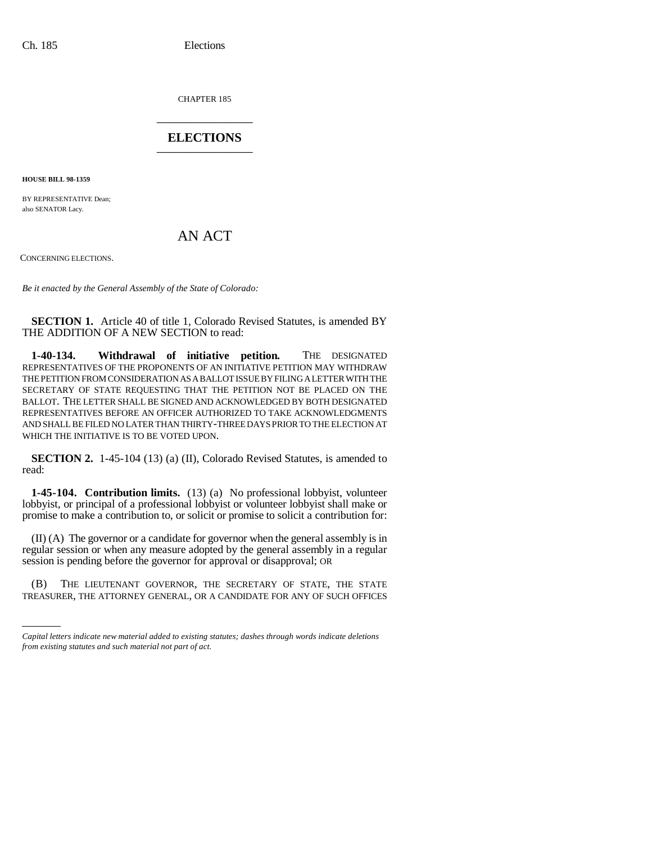CHAPTER 185 \_\_\_\_\_\_\_\_\_\_\_\_\_\_\_

## **ELECTIONS** \_\_\_\_\_\_\_\_\_\_\_\_\_\_\_

**HOUSE BILL 98-1359**

BY REPRESENTATIVE Dean; also SENATOR Lacy.

AN ACT

CONCERNING ELECTIONS.

*Be it enacted by the General Assembly of the State of Colorado:*

**SECTION 1.** Article 40 of title 1, Colorado Revised Statutes, is amended BY THE ADDITION OF A NEW SECTION to read:

**1-40-134. Withdrawal of initiative petition.** THE DESIGNATED REPRESENTATIVES OF THE PROPONENTS OF AN INITIATIVE PETITION MAY WITHDRAW THE PETITION FROM CONSIDERATION AS A BALLOT ISSUE BY FILING A LETTER WITH THE SECRETARY OF STATE REQUESTING THAT THE PETITION NOT BE PLACED ON THE BALLOT. THE LETTER SHALL BE SIGNED AND ACKNOWLEDGED BY BOTH DESIGNATED REPRESENTATIVES BEFORE AN OFFICER AUTHORIZED TO TAKE ACKNOWLEDGMENTS AND SHALL BE FILED NO LATER THAN THIRTY-THREE DAYS PRIOR TO THE ELECTION AT WHICH THE INITIATIVE IS TO BE VOTED UPON.

**SECTION 2.** 1-45-104 (13) (a) (II), Colorado Revised Statutes, is amended to read:

**1-45-104. Contribution limits.** (13) (a) No professional lobbyist, volunteer lobbyist, or principal of a professional lobbyist or volunteer lobbyist shall make or promise to make a contribution to, or solicit or promise to solicit a contribution for:

(II) (A) The governor or a candidate for governor when the general assembly is in regular session or when any measure adopted by the general assembly in a regular session is pending before the governor for approval or disapproval; OR

TREASURER, THE ATTORNEY GENERAL, OR A CANDIDATE FOR ANY OF SUCH OFFICES(B) THE LIEUTENANT GOVERNOR, THE SECRETARY OF STATE, THE STATE

*Capital letters indicate new material added to existing statutes; dashes through words indicate deletions from existing statutes and such material not part of act.*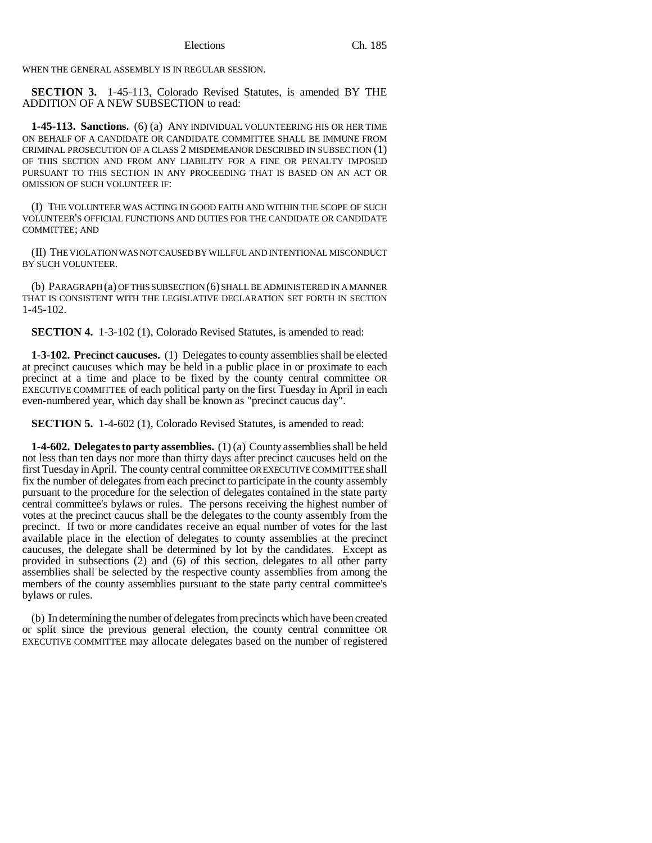WHEN THE GENERAL ASSEMBLY IS IN REGULAR SESSION.

**SECTION 3.** 1-45-113, Colorado Revised Statutes, is amended BY THE ADDITION OF A NEW SUBSECTION to read:

**1-45-113. Sanctions.** (6) (a) ANY INDIVIDUAL VOLUNTEERING HIS OR HER TIME ON BEHALF OF A CANDIDATE OR CANDIDATE COMMITTEE SHALL BE IMMUNE FROM CRIMINAL PROSECUTION OF A CLASS 2 MISDEMEANOR DESCRIBED IN SUBSECTION (1) OF THIS SECTION AND FROM ANY LIABILITY FOR A FINE OR PENALTY IMPOSED PURSUANT TO THIS SECTION IN ANY PROCEEDING THAT IS BASED ON AN ACT OR OMISSION OF SUCH VOLUNTEER IF:

(I) THE VOLUNTEER WAS ACTING IN GOOD FAITH AND WITHIN THE SCOPE OF SUCH VOLUNTEER'S OFFICIAL FUNCTIONS AND DUTIES FOR THE CANDIDATE OR CANDIDATE COMMITTEE; AND

(II) THE VIOLATION WAS NOT CAUSED BY WILLFUL AND INTENTIONAL MISCONDUCT BY SUCH VOLUNTEER.

(b) PARAGRAPH (a) OF THIS SUBSECTION (6) SHALL BE ADMINISTERED IN A MANNER THAT IS CONSISTENT WITH THE LEGISLATIVE DECLARATION SET FORTH IN SECTION 1-45-102.

**SECTION 4.** 1-3-102 (1), Colorado Revised Statutes, is amended to read:

**1-3-102. Precinct caucuses.** (1) Delegates to county assemblies shall be elected at precinct caucuses which may be held in a public place in or proximate to each precinct at a time and place to be fixed by the county central committee OR EXECUTIVE COMMITTEE of each political party on the first Tuesday in April in each even-numbered year, which day shall be known as "precinct caucus day".

**SECTION 5.** 1-4-602 (1), Colorado Revised Statutes, is amended to read:

**1-4-602. Delegates to party assemblies.** (1) (a) County assemblies shall be held not less than ten days nor more than thirty days after precinct caucuses held on the first Tuesday in April. The county central committee OR EXECUTIVE COMMITTEE shall fix the number of delegates from each precinct to participate in the county assembly pursuant to the procedure for the selection of delegates contained in the state party central committee's bylaws or rules. The persons receiving the highest number of votes at the precinct caucus shall be the delegates to the county assembly from the precinct. If two or more candidates receive an equal number of votes for the last available place in the election of delegates to county assemblies at the precinct caucuses, the delegate shall be determined by lot by the candidates. Except as provided in subsections (2) and (6) of this section, delegates to all other party assemblies shall be selected by the respective county assemblies from among the members of the county assemblies pursuant to the state party central committee's bylaws or rules.

(b) In determining the number of delegates from precincts which have been created or split since the previous general election, the county central committee OR EXECUTIVE COMMITTEE may allocate delegates based on the number of registered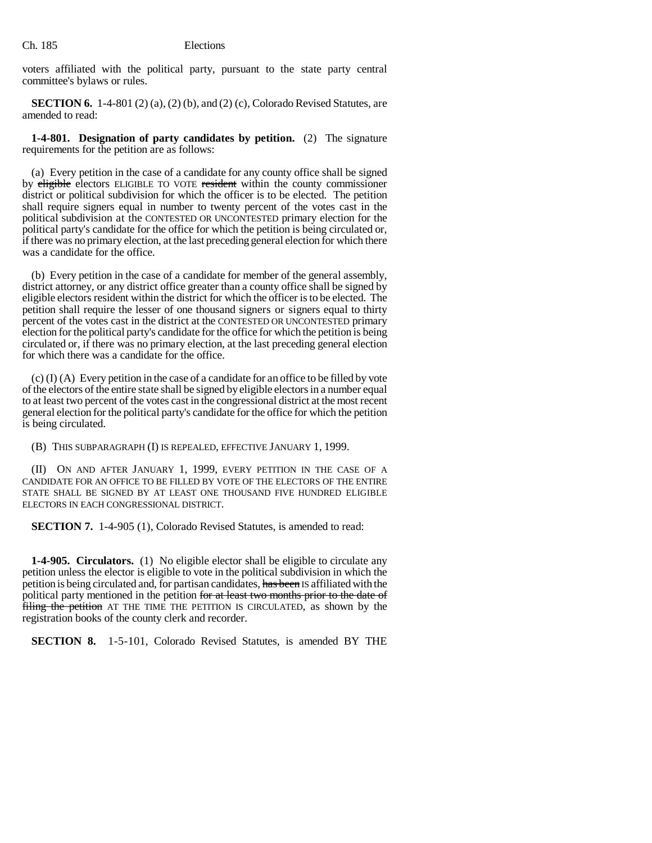voters affiliated with the political party, pursuant to the state party central committee's bylaws or rules.

**SECTION 6.** 1-4-801 (2) (a), (2) (b), and (2) (c), Colorado Revised Statutes, are amended to read:

**1-4-801. Designation of party candidates by petition.** (2) The signature requirements for the petition are as follows:

(a) Every petition in the case of a candidate for any county office shall be signed by eligible electors ELIGIBLE TO VOTE resident within the county commissioner district or political subdivision for which the officer is to be elected. The petition shall require signers equal in number to twenty percent of the votes cast in the political subdivision at the CONTESTED OR UNCONTESTED primary election for the political party's candidate for the office for which the petition is being circulated or, if there was no primary election, at the last preceding general election for which there was a candidate for the office.

(b) Every petition in the case of a candidate for member of the general assembly, district attorney, or any district office greater than a county office shall be signed by eligible electors resident within the district for which the officer is to be elected. The petition shall require the lesser of one thousand signers or signers equal to thirty percent of the votes cast in the district at the CONTESTED OR UNCONTESTED primary election for the political party's candidate for the office for which the petition is being circulated or, if there was no primary election, at the last preceding general election for which there was a candidate for the office.

(c) (I) (A) Every petition in the case of a candidate for an office to be filled by vote of the electors of the entire state shall be signed by eligible electors in a number equal to at least two percent of the votes cast in the congressional district at the most recent general election for the political party's candidate for the office for which the petition is being circulated.

(B) THIS SUBPARAGRAPH (I) IS REPEALED, EFFECTIVE JANUARY 1, 1999.

(II) ON AND AFTER JANUARY 1, 1999, EVERY PETITION IN THE CASE OF A CANDIDATE FOR AN OFFICE TO BE FILLED BY VOTE OF THE ELECTORS OF THE ENTIRE STATE SHALL BE SIGNED BY AT LEAST ONE THOUSAND FIVE HUNDRED ELIGIBLE ELECTORS IN EACH CONGRESSIONAL DISTRICT.

**SECTION 7.** 1-4-905 (1), Colorado Revised Statutes, is amended to read:

**1-4-905. Circulators.** (1) No eligible elector shall be eligible to circulate any petition unless the elector is eligible to vote in the political subdivision in which the petition is being circulated and, for partisan candidates, has been IS affiliated with the political party mentioned in the petition for at least two months prior to the date of filing the petition AT THE TIME THE PETITION IS CIRCULATED, as shown by the registration books of the county clerk and recorder.

**SECTION 8.** 1-5-101, Colorado Revised Statutes, is amended BY THE